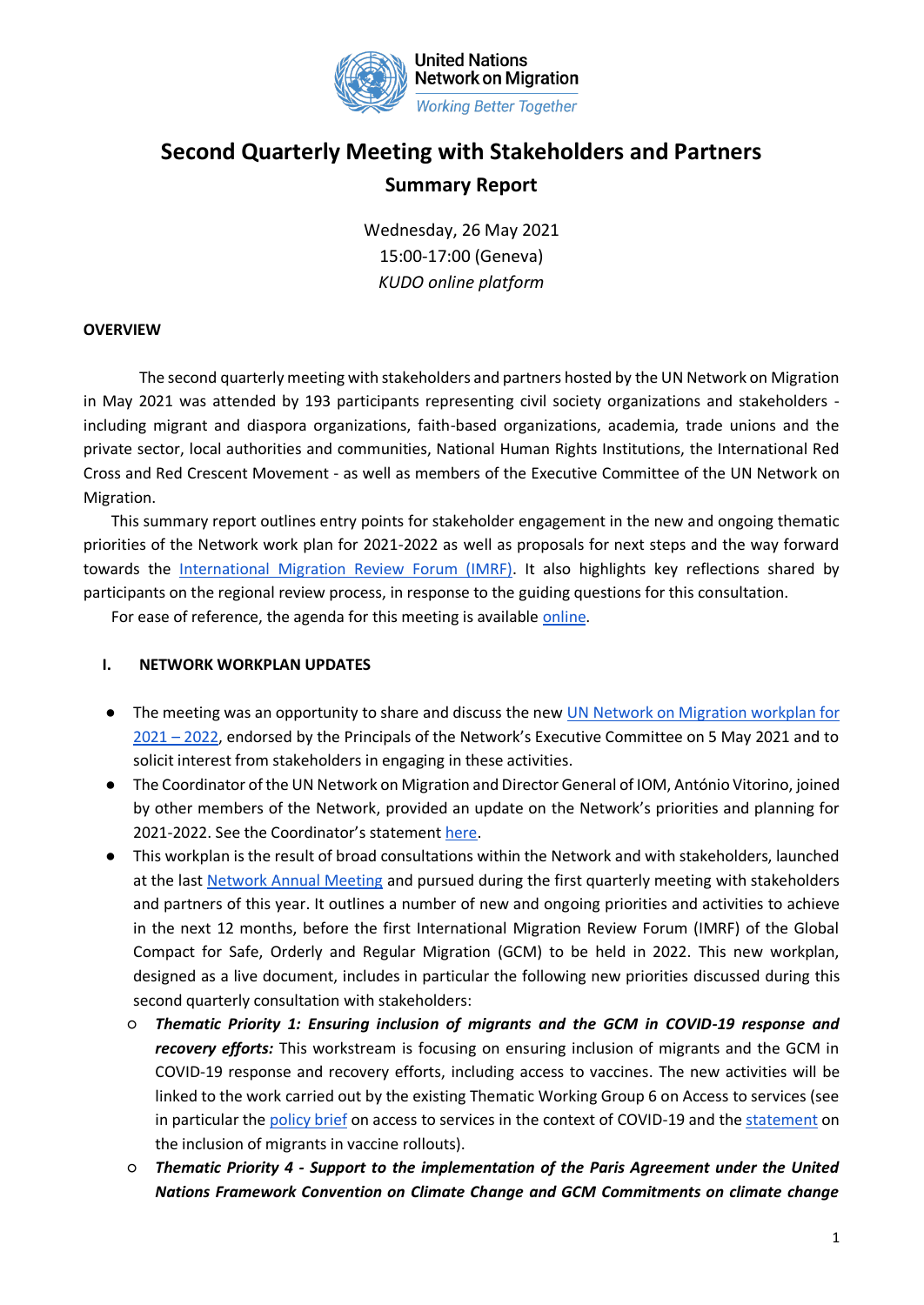

# **Second Quarterly Meeting with Stakeholders and Partners Summary Report**

Wednesday, 26 May 2021 15:00-17:00 (Geneva) *KUDO online platform*

### **OVERVIEW**

The second quarterly meeting with stakeholders and partners hosted by the UN Network on Migration in May 2021 was attended by 193 participants representing civil society organizations and stakeholders including migrant and diaspora organizations, faith-based organizations, academia, trade unions and the private sector, local authorities and communities, National Human Rights Institutions, the International Red Cross and Red Crescent Movement - as well as members of the Executive Committee of the UN Network on Migration.

This summary report outlines entry points for stakeholder engagement in the new and ongoing thematic priorities of the Network work plan for 2021-2022 as well as proposals for next steps and the way forward towards the [International Migration Review Forum \(IMRF\).](https://migrationnetwork.un.org/international-migration-review-forum-2022) It also highlights key reflections shared by participants on the regional review process, in response to the guiding questions for this consultation.

For ease of reference, the agenda for this meeting is available [online.](https://migrationnetwork.un.org/sites/default/files/docs/un_network_agenda_2nd_quarterly_stakeholder_meeting_26may_2021_.pdf)

#### **I. NETWORK WORKPLAN UPDATES**

- The meeting was an opportunity to share and discuss the new [UN Network on Migration workplan](https://migrationnetwork.un.org/about/united-nations-network-migration-workplan) [for](https://migrationnetwork.un.org/about/united-nations-network-migration-workplan)  [2021](https://migrationnetwork.un.org/about/united-nations-network-migration-workplan) – 2022, endorsed by the Principals of the Network's Executive Committee on 5 May 2021 and to solicit interest from stakeholders in engaging in these activities.
- The Coordinator of the UN Network on Migration and Director General of IOM, António Vitorino, joined by other members of the Network, provided an update on the Network's priorities and planning for 2021-2022. See the Coordinator's statement [here.](https://migrationnetwork.un.org/sites/default/files/docs/coordinator_statement_-_2nd_quarterly_stakeholder_meeting_26may_2021.pdf)
- This workplan is the result of broad consultations within the Network and with stakeholders, launched at the last [Network Annual Meeting](https://migrationnetwork.un.org/meeting/annual-meetings/annual-meeting-2020) and pursued during the first quarterly meeting with stakeholders and partners of this year. It outlines a number of new and ongoing priorities and activities to achieve in the next 12 months, before the first International Migration Review Forum (IMRF) of the Global Compact for Safe, Orderly and Regular Migration (GCM) to be held in 2022. This new workplan, designed as a live document, includes in particular the following new priorities discussed during this second quarterly consultation with stakeholders:
	- *Thematic Priority 1: Ensuring inclusion of migrants and the GCM in COVID-19 response and recovery efforts:* This workstream is focusing on ensuring inclusion of migrants and the GCM in COVID-19 response and recovery efforts, including access to vaccines. The new activities will be linked to the work carried out by the existing Thematic Working Group 6 on Access to services (see in particular the [policy brief](https://migrationnetwork.un.org/sites/default/files/docs/final_network_wg_policy_brief_covid-19_and_access_to_services_0.pdf) on access to services in the context of COVID-19 and the [statement](https://migrationnetwork.un.org/striving-equitable-access-covid-19-vaccines-leave-no-migrant-behind) on the inclusion of migrants in vaccine rollouts).
	- *Thematic Priority 4 - Support to the implementation of the Paris Agreement under the United Nations Framework Convention on Climate Change and GCM Commitments on climate change*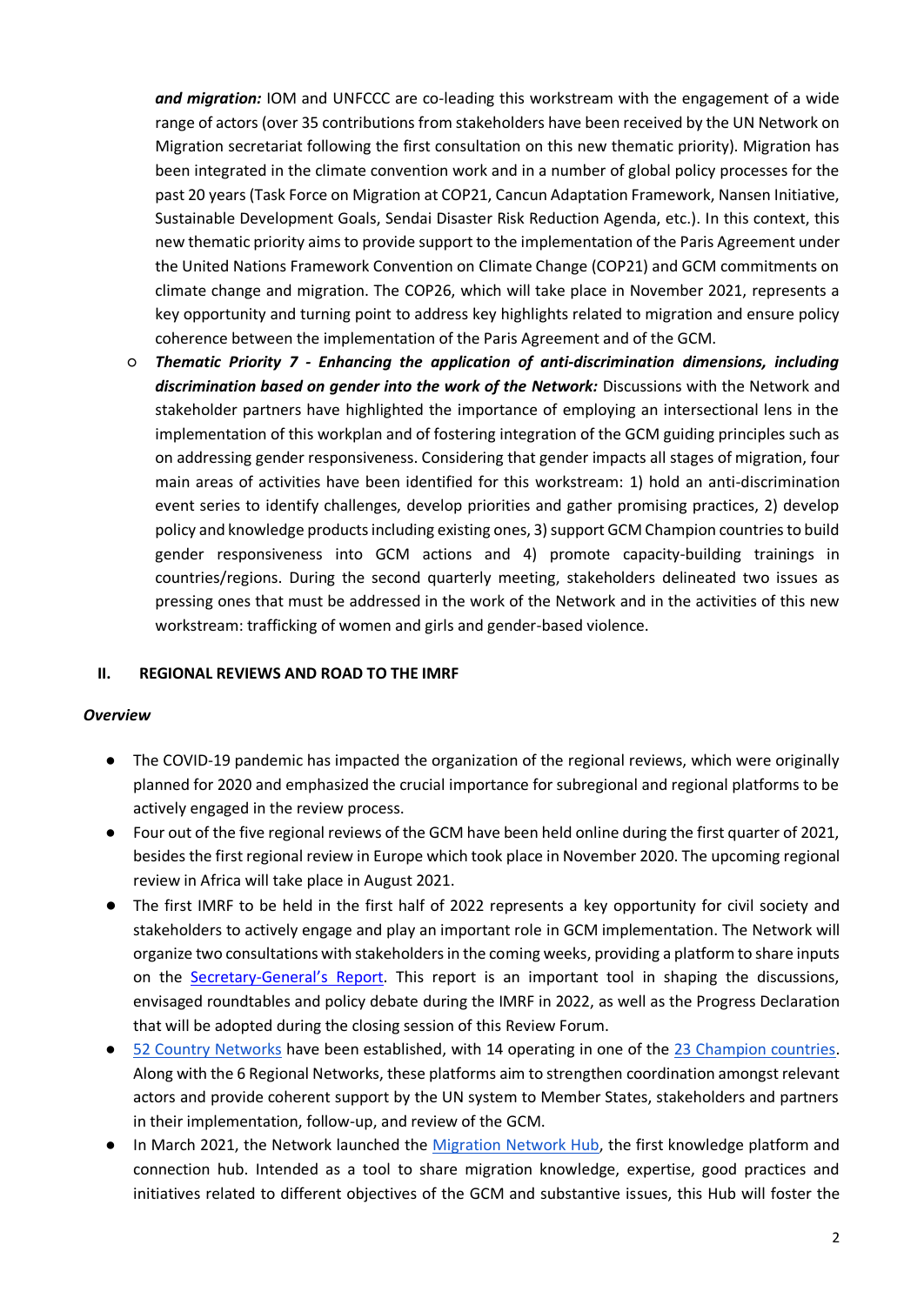*and migration:* IOM and UNFCCC are co-leading this workstream with the engagement of a wide range of actors (over 35 contributions from stakeholders have been received by the UN Network on Migration secretariat following the first consultation on this new thematic priority). Migration has been integrated in the climate convention work and in a number of global policy processes for the past 20 years (Task Force on Migration at COP21, Cancun Adaptation Framework, Nansen Initiative, Sustainable Development Goals, Sendai Disaster Risk Reduction Agenda, etc.). In this context, this new thematic priority aims to provide support to the implementation of the Paris Agreement under the United Nations Framework Convention on Climate Change (COP21) and GCM commitments on climate change and migration. The COP26, which will take place in November 2021, represents a key opportunity and turning point to address key highlights related to migration and ensure policy coherence between the implementation of the Paris Agreement and of the GCM.

○ *Thematic Priority 7 - Enhancing the application of anti-discrimination dimensions, including discrimination based on gender into the work of the Network:* Discussions with the Network and stakeholder partners have highlighted the importance of employing an intersectional lens in the implementation of this workplan and of fostering integration of the GCM guiding principles such as on addressing gender responsiveness. Considering that gender impacts all stages of migration, four main areas of activities have been identified for this workstream: 1) hold an anti-discrimination event series to identify challenges, develop priorities and gather promising practices, 2) develop policy and knowledge products including existing ones, 3) support GCM Champion countries to build gender responsiveness into GCM actions and 4) promote capacity-building trainings in countries/regions. During the second quarterly meeting, stakeholders delineated two issues as pressing ones that must be addressed in the work of the Network and in the activities of this new workstream: trafficking of women and girls and gender-based violence.

#### **II. REGIONAL REVIEWS AND ROAD TO THE IMRF**

#### *Overview*

- The COVID-19 pandemic has impacted the organization of the regional reviews, which were originally planned for 2020 and emphasized the crucial importance for subregional and regional platforms to be actively engaged in the review process.
- Four out of the five regional reviews of the GCM have been held online during the first quarter of 2021, besides the first regional review in Europe which took place in November 2020. The upcoming regional review in Africa will take place in August 2021.
- The first IMRF to be held in the first half of 2022 represents a key opportunity for civil society and stakeholders to actively engage and play an important role in GCM implementation. The Network will organize two consultations with stakeholders in the coming weeks, providing a platform to share inputs on the Secretary-[General's Report](https://migrationnetwork.un.org/un-sg-biennial-reports). This report is an important tool in shaping the discussions, envisaged roundtables and policy debate during the IMRF in 2022, as well as the Progress Declaration that will be adopted during the closing session of this Review Forum.
- [52 Country Networks](https://migrationnetwork.un.org/country-and-regional-networks) have been established, with 14 operating in one of the [23 Champion countries.](https://migrationnetwork.un.org/sites/default/files/docs/coordinator_statement_-_champions_26may2021_as_delivered.pdf) Along with the 6 Regional Networks, these platforms aim to strengthen coordination amongst relevant actors and provide coherent support by the UN system to Member States, stakeholders and partners in their implementation, follow-up, and review of the GCM.
- In March 2021, the Network launched the [Migration Network Hub,](https://migrationnetwork.un.org/hub) the first knowledge platform and connection hub. Intended as a tool to share migration knowledge, expertise, good practices and initiatives related to different objectives of the GCM and substantive issues, this Hub will foster the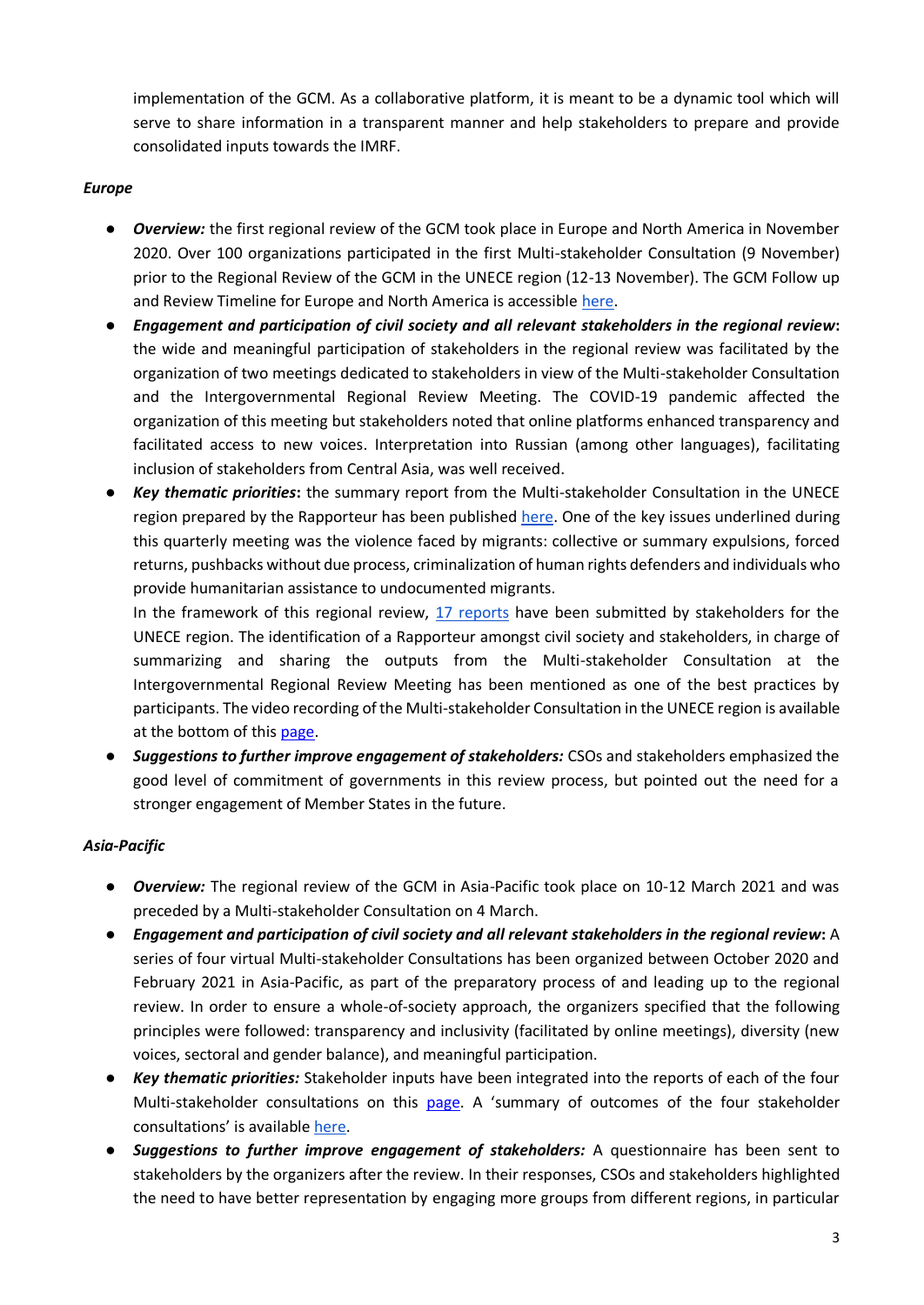implementation of the GCM. As a collaborative platform, it is meant to be a dynamic tool which will serve to share information in a transparent manner and help stakeholders to prepare and provide consolidated inputs towards the IMRF.

# *Europe*

- *Overview:* the first regional review of the GCM took place in Europe and North America in November 2020. Over 100 organizations participated in the first Multi-stakeholder Consultation (9 November) prior to the Regional Review of the GCM in the UNECE region (12-13 November). The GCM Follow up and Review Timeline for Europe and North America is accessible [here.](https://migrationnetwork.un.org/country-regional-network/europe-north-america)
- *Engagement and participation of civil society and all relevant stakeholders in the regional review***:** the wide and meaningful participation of stakeholders in the regional review was facilitated by the organization of two meetings dedicated to stakeholders in view of the Multi-stakeholder Consultation and the Intergovernmental Regional Review Meeting. The COVID-19 pandemic affected the organization of this meeting but stakeholders noted that online platforms enhanced transparency and facilitated access to new voices. Interpretation into Russian (among other languages), facilitating inclusion of stakeholders from Central Asia, was well received.
- *Key thematic priorities***:** the summary report from the Multi-stakeholder Consultation in the UNECE region prepared by the Rapporteur has been published [here.](https://migrationnetwork.un.org/sites/default/files/docs/nw-cso_consultation_summary_note_of_outcomes_and_next_steps_4april19.docx_final_0.pdf) One of the key issues underlined during this quarterly meeting was the violence faced by migrants: collective or summary expulsions, forced returns, pushbacks without due process, criminalization of human rights defenders and individuals who provide humanitarian assistance to undocumented migrants.

In the framework of this regional review, [17 reports](https://migrationnetwork.un.org/country-regional-network/europe-north-america) have been submitted by stakeholders for the UNECE region. The identification of a Rapporteur amongst civil society and stakeholders, in charge of summarizing and sharing the outputs from the Multi-stakeholder Consultation at the Intergovernmental Regional Review Meeting has been mentioned as one of the best practices by participants. The video recording of the Multi-stakeholder Consultation in the UNECE region is available at the bottom of this [page.](https://migrationnetwork.un.org/country-regional-network/europe-north-america)

● *Suggestions to further improve engagement of stakeholders:* CSOs and stakeholders emphasized the good level of commitment of governments in this review process, but pointed out the need for a stronger engagement of Member States in the future.

# *Asia-Pacific*

- *Overview:* The regional review of the GCM in Asia-Pacific took place on 10-12 March 2021 and was preceded by a Multi-stakeholder Consultation on 4 March.
- *Engagement and participation of civil society and all relevant stakeholders in the regional review***:** A series of four virtual Multi-stakeholder Consultations has been organized between October 2020 and February 2021 in Asia-Pacific, as part of the preparatory process of and leading up to the regional review. In order to ensure a whole-of-society approach, the organizers specified that the following principles were followed: transparency and inclusivity (facilitated by online meetings), diversity (new voices, sectoral and gender balance), and meaningful participation.
- *Key thematic priorities:* Stakeholder inputs have been integrated into the reports of each of the four Multi-stakeholder consultations on this [page.](https://migrationnetwork.un.org/country-regional-network/asia-pacific) A 'summary of outcomes of the four stakeholder consultations' is availabl[e here.](https://migrationnetwork.un.org/sites/default/files/docs/escap_gcm_2021_cpr2_eng.pdf)
- **Suggestions to further improve engagement of stakeholders:** A questionnaire has been sent to stakeholders by the organizers after the review. In their responses, CSOs and stakeholders highlighted the need to have better representation by engaging more groups from different regions, in particular